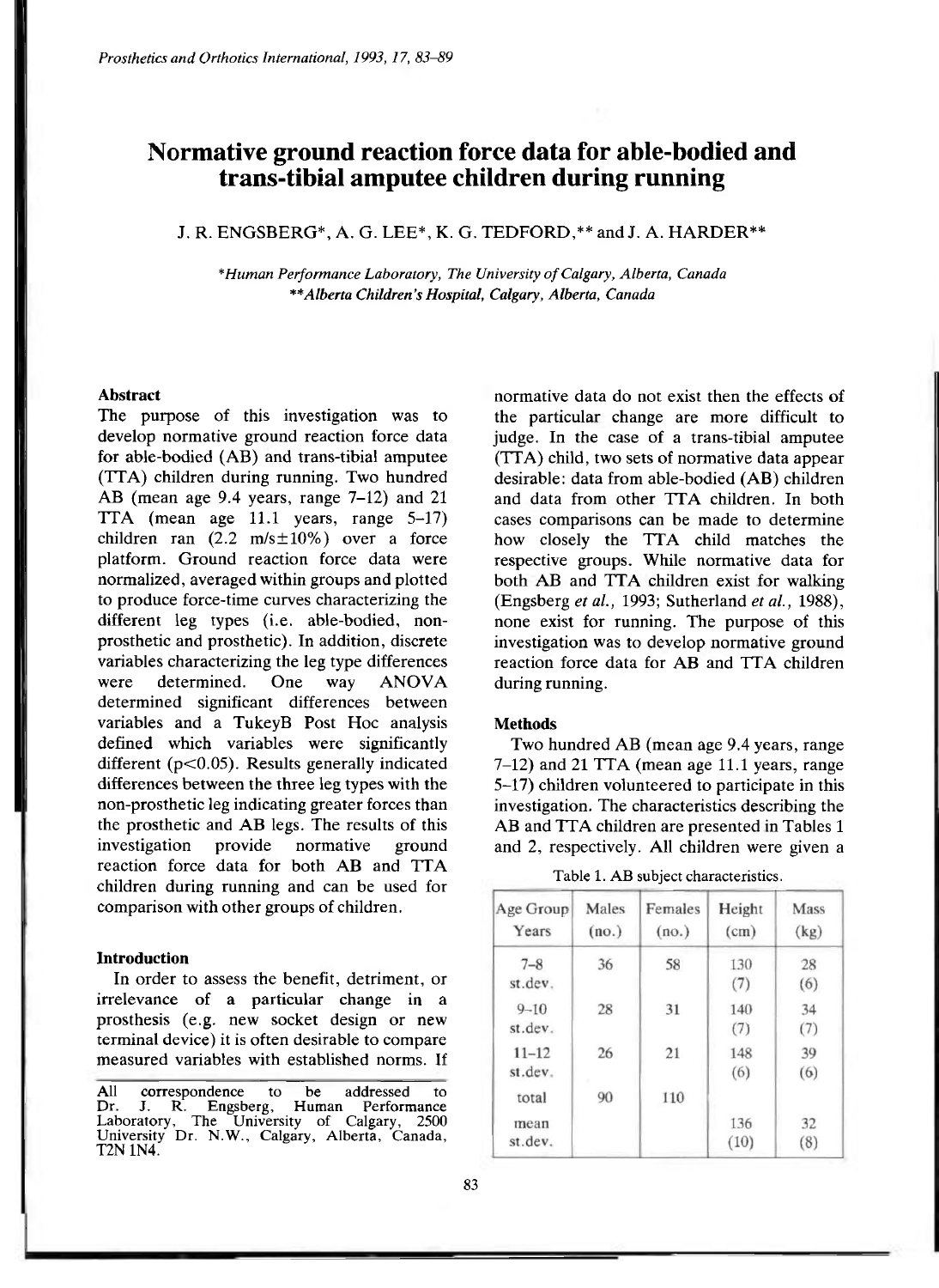# **Normative ground reaction force data for able-bodied and trans-tibial amputee children during running**

# J. R. ENGSBERG\*, A. G. LEE\*, K. G. TEDFORD,\*\* and J. A. HARDER\*\*

*\*Human Performance Laboratory, The University of Calgary, Alberta, Canada \*\*Alberta Children's Hospital, Calgary, Alberta, Canada* 

#### **Abstract**

The purpose of this investigation was to develop normative ground reaction force data for able-bodied (AB) and trans-tibial amputee (TTA) children during running. Two hundred AB (mean age 9.4 years, range 7-12) and 21 TTA (mean age 11.1 years, range 5-17) children ran  $(2.2 \text{ m/s} \pm 10\%)$  over a force platform. Ground reaction force data were normalized, averaged within groups and plotted to produce force-time curves characterizing the different leg types (i.e. able-bodied, nonprosthetic and prosthetic). In addition, discrete variables characterizing the leg type differences were determined. One way ANOVA determined significant differences between variables and a TukeyB Post Hoc analysis defined which variables were significantly different ( $p<0.05$ ). Results generally indicated differences between the three leg types with the non-prosthetic leg indicating greater forces than the prosthetic and AB legs. The results of this investigation provide normative ground reaction force data for both AB and TTA children during running and can be used for comparison with other groups of children.

#### **Introduction**

In order to assess the benefit, detriment, or irrelevance of a particular change in a prosthesis (e.g. new socket design or new terminal device) it is often desirable to compare measured variables with established norms. If

All correspondence to be addressed to Dr. J. R. Engsberg, Human Performance Laboratory, The University of Calgary, 2500 University Dr. N.W., Calgary, Alberta, Canada, T2N 1N4.

normative data do not exist then the effects of the particular change are more difficult to judge. In the case of a trans-tibial amputee (TTA) child, two sets of normative data appear desirable: data from able-bodied (AB) children and data from other TTA children. In both cases comparisons can be made to determine how closely the TTA child matches the respective groups. While normative data for both AB and TTA children exist for walking (Engsberg *et al.,* 1993; Sutherland *et al.*, 1988), none exist for running. The purpose of this investigation was to develop normative ground reaction force data for AB and TTA children during running.

## **Methods**

Two hundred AB (mean age 9.4 years, range 7-12) and 21 TTA (mean age 11.1 years, range 5-17) children volunteered to participate in this investigation. The characteristics describing the AB and TTA children are presented in Tables 1 and 2, respectively. All children were given a

Table 1. AB subject characteristics.

| Age Group<br>Years   | Males<br>(no.) | Females<br>(no.) | Height<br>(cm) | Mass<br>(kg) |
|----------------------|----------------|------------------|----------------|--------------|
| $7 - 8$<br>st.dev.   | 36             | 58               | 130<br>(7)     | 28<br>(6)    |
| $9 - 10$<br>st.dev.  | 28             | 31               | 140<br>(7)     | 34<br>(7)    |
| $11 - 12$<br>st.dev. | 26             | 21               | 148<br>(6)     | 39<br>(6)    |
| total                | 90             | 110              |                |              |
| mean<br>st.dev.      |                |                  | 136<br>(10)    | 32<br>(8)    |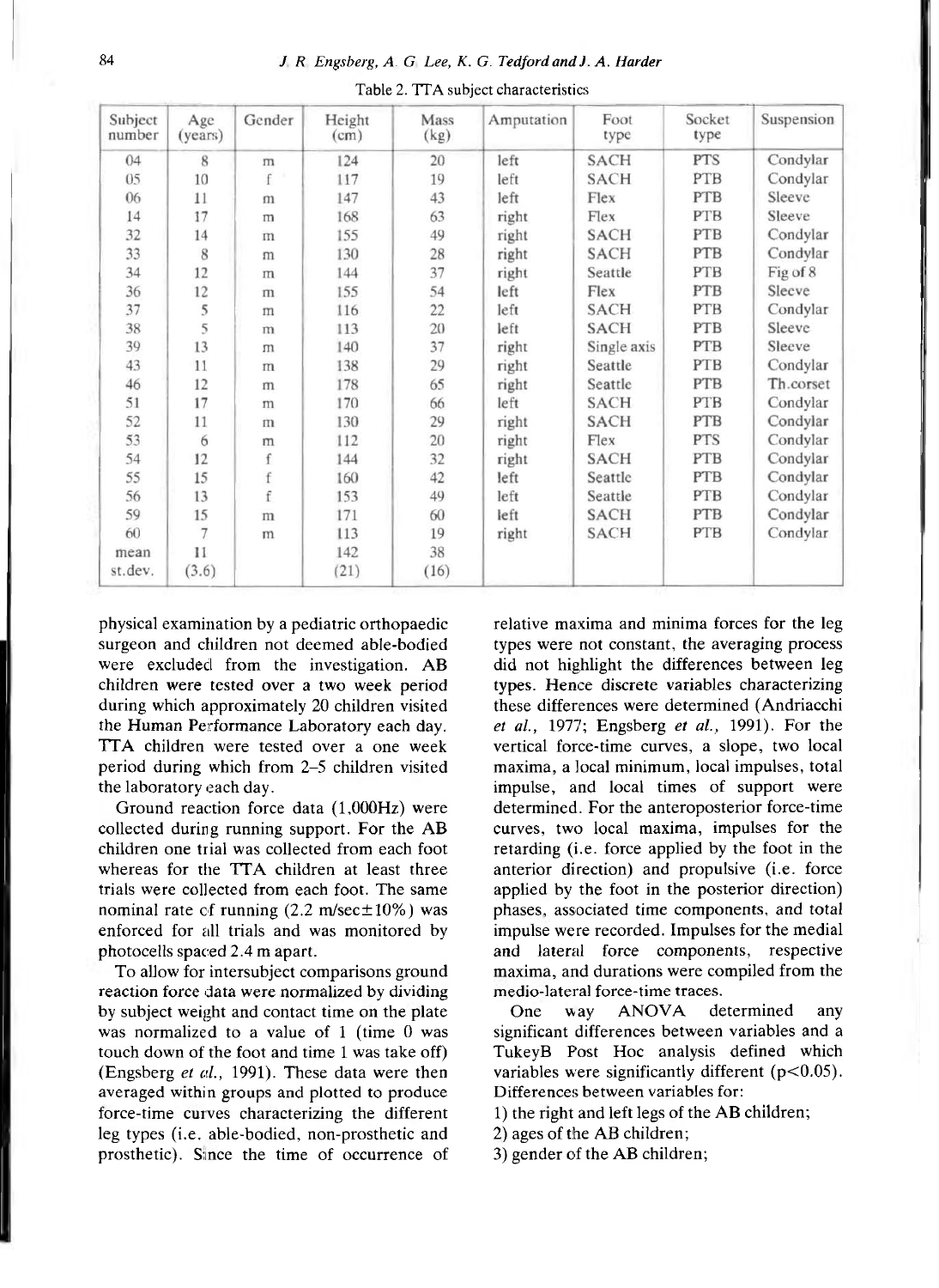| Subject<br>number | Age<br>(years) | Gender       | Height<br>(cm) | Mass<br>(kg) | Amputation | Foot<br>type | Socket<br>type | Suspension |
|-------------------|----------------|--------------|----------------|--------------|------------|--------------|----------------|------------|
| 04                | 8              | $\mathbf{m}$ | 124            | 20           | left       | SACH         | PTS            | Condylar   |
| 05                | 10             | f            | 117            | 19           | left       | <b>SACH</b>  | PTB            | Condylar   |
| 06                | 11             | m            | 147            | 43           | left       | Flex         | PTB            | Sleeve     |
| 14                | 17             | m            | 168            | 63           | right      | Flex         | PTB            | Sleeve     |
| 32                | 14             | m            | 155            | 49           | right      | <b>SACH</b>  | PTB            | Condylar   |
| 33                | 8              | m            | 130            | 28           | right      | <b>SACH</b>  | PTB            | Condylar   |
| 34                | 12             | m            | 144            | 37           | right      | Seattle      | PTB            | Fig of 8   |
| 36                | 12             | m            | 155            | 54           | left       | Flex         | PTB            | Sleeve     |
| 37                | 5              | m            | 116            | 22           | left       | <b>SACH</b>  | PTB            | Condylar   |
| 38                | 5              | m            | 113            | 20           | left       | <b>SACH</b>  | PTB            | Sleeve     |
| 39                | 13             | m            | 140            | 37           | right      | Single axis  | PTB            | Sleeve     |
| 43                | 11             | m            | 138            | 29           | right      | Seattle      | <b>PTB</b>     | Condylar   |
| 46                | 12             | m            | 178            | 65           | right      | Seattle      | <b>PTB</b>     | Th.corset  |
| 51                | 17             | m            | 170            | 66           | left       | <b>SACH</b>  | PTB            | Condylar   |
| 52                | 11             | m            | 130            | 29           | right      | <b>SACH</b>  | PTB            | Condylar   |
| 53                | 6              | m            | 112            | 20           | right      | Flex         | PTS            | Condylar   |
| 54                | 12             | f            | 144            | 32           | right      | <b>SACH</b>  | <b>PTB</b>     | Condylar   |
| 55                | 15             |              | 160            | 42           | left       | Seattle      | PTB            | Condylar   |
| 56                | 13             | f            | 153            | 49           | left       | Seattle      | PTB            | Condylar   |
| 59                | 15             | m            | 171            | 60           | left       | <b>SACH</b>  | <b>PTB</b>     | Condylar   |
| 60                | 7              | m            | 113            | 19           | right      | <b>SACH</b>  | PTB            | Condylar   |
| mean              | 11             |              | 142            | 38           |            |              |                |            |
| st.dev.           | (3.6)          |              | (21)           | (16)         |            |              |                |            |

Table 2. TTA subject characteristics

physical examination by a pediatric orthopaedic surgeon and children not deemed able-bodied were excluded from the investigation. AB children were tested over a two week period during which approximately 20 children visited the Human Performance Laboratory each day. TTA children were tested over a one week period during which from 2-5 children visited the laboratory each day.

Ground reaction force data (1,000Hz) were collected during running support. For the AB children one trial was collected from each foot whereas for the TTA children at least three trials were collected from each foot. The same nominal rate of running  $(2.2 \text{ m/sec} \pm 10\%)$  was enforced for all trials and was monitored by photocells spaced 2.4 m apart.

To allow for intersubject comparisons ground reaction force data were normalized by dividing by subject weight and contact time on the plate was normalized to a value of 1 (time 0 was touch down of the foot and time 1 was take off) (Engsberg *et al.,* 1991). These data were then averaged within groups and plotted to produce force-time curves characterizing the different leg types (i.e. able-bodied, non-prosthetic and prosthetic). Since the time of occurrence of relative maxima and minima forces for the leg types were not constant, the averaging process did not highlight the differences between leg types. Hence discrete variables characterizing these differences were determined (Andriacchi *et al.,* 1977; Engsberg *et al.,* 1991). For the vertical force-time curves, a slope, two local maxima, a local minimum, local impulses, total impulse, and local times of support were determined. For the anteroposterior force-time curves, two local maxima, impulses for the retarding (i.e. force applied by the foot in the anterior direction) and propulsive (i.e. force applied by the foot in the posterior direction) phases, associated time components, and total impulse were recorded. Impulses for the medial and lateral force components, respective maxima, and durations were compiled from the medio-lateral force-time traces.

One way ANOVA determined any significant differences between variables and a TukeyB Post Hoc analysis defined which variables were significantly different (p<0.05). Differences between variables for:

1) the right and left legs of the AB children;

2) ages of the AB children;

3) gender of the AB children;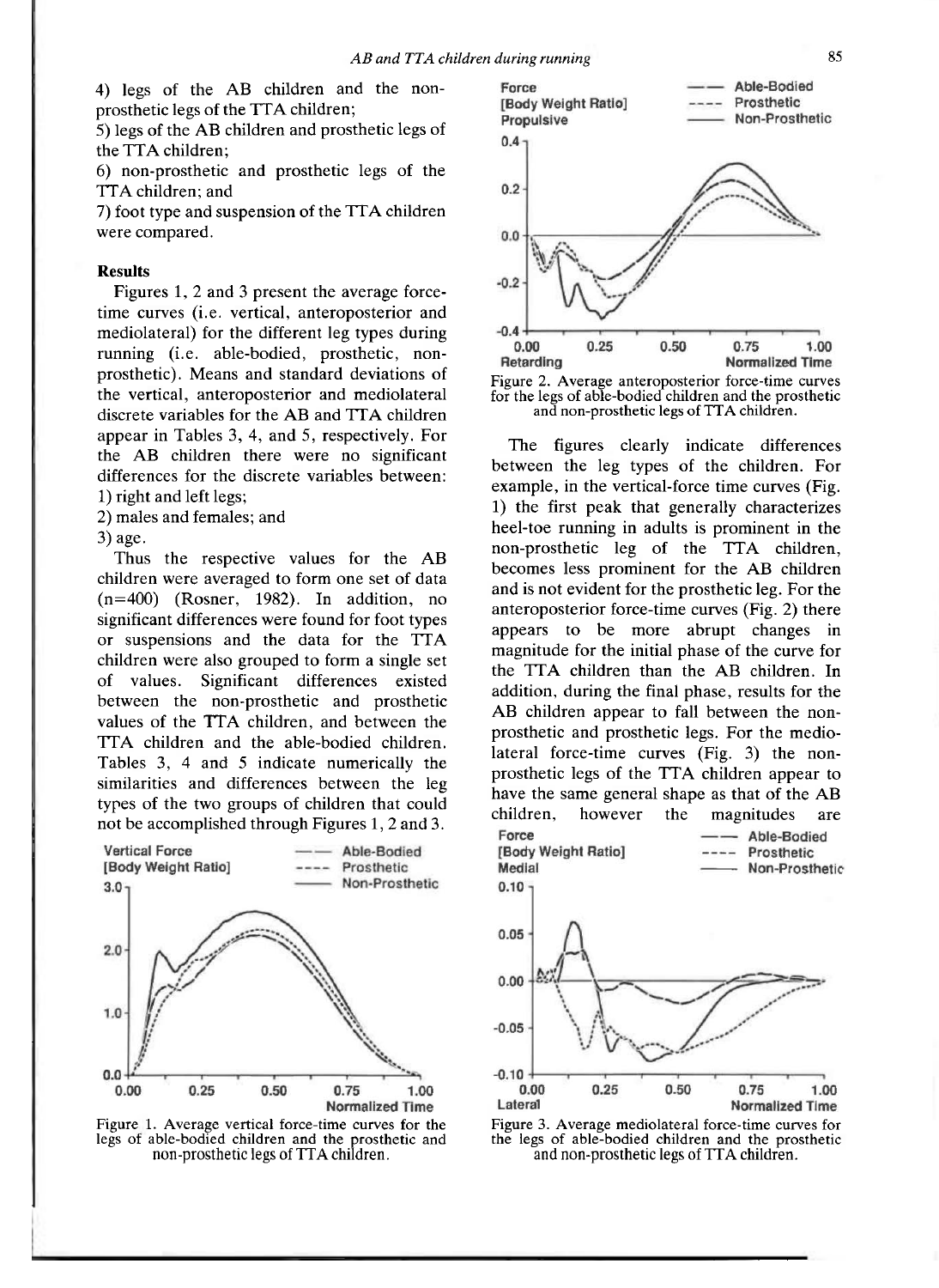4) legs of the AB children and the nonprosthetic legs of the TTA children;

5) legs of the AB children and prosthetic legs of the TTA children;

6) non-prosthetic and prosthetic legs of the TTA children; and

7) foot type and suspension of the TTA children were compared.

#### **Results**

Figures 1, 2 and 3 present the average forcetime curves (i.e. vertical, anteroposterior and mediolateral) for the different leg types during running (i.e. able-bodied, prosthetic, nonprosthetic). Means and standard deviations of the vertical, anteroposterior and mediolateral discrete variables for the AB and TTA children appear in Tables 3, 4, and 5, respectively. For the AB children there were no significant differences for the discrete variables between: 1) right and left legs;

2) males and females; and

3) age.

Thus the respective values for the AB children were averaged to form one set of data (n=400) (Rosner, 1982). In addition, no significant differences were found for foot types or suspensions and the data for the TTA children were also grouped to form a single set of values. Significant differences existed between the non-prosthetic and prosthetic values of the TTA children, and between the TTA children and the able-bodied children. Tables 3, 4 and 5 indicate numerically the similarities and differences between the leg types of the two groups of children that could not be accomplished through Figures 1, 2 and 3.







Figure 2. Average anteroposterior force-time curves for the legs of able-bodied children and the prosthetic and non-prosthetic legs of TTA children.

The figures clearly indicate differences between the leg types of the children. For example, in the vertical-force time curves (Fig. 1) the first peak that generally characterizes heel-toe running in adults is prominent in the non-prosthetic leg of the TTA children, becomes less prominent for the AB children and is not evident for the prosthetic leg. For the anteroposterior force-time curves (Fig. 2) there appears to be more abrupt changes in magnitude for the initial phase of the curve for the TTA children than the AB children. In addition, during the final phase, results for the AB children appear to fall between the nonprosthetic and prosthetic legs. For the mediolateral force-time curves (Fig. 3) the nonprosthetic legs of the TTA children appear to have the same general shape as that of the AB children, however the magnitudes are





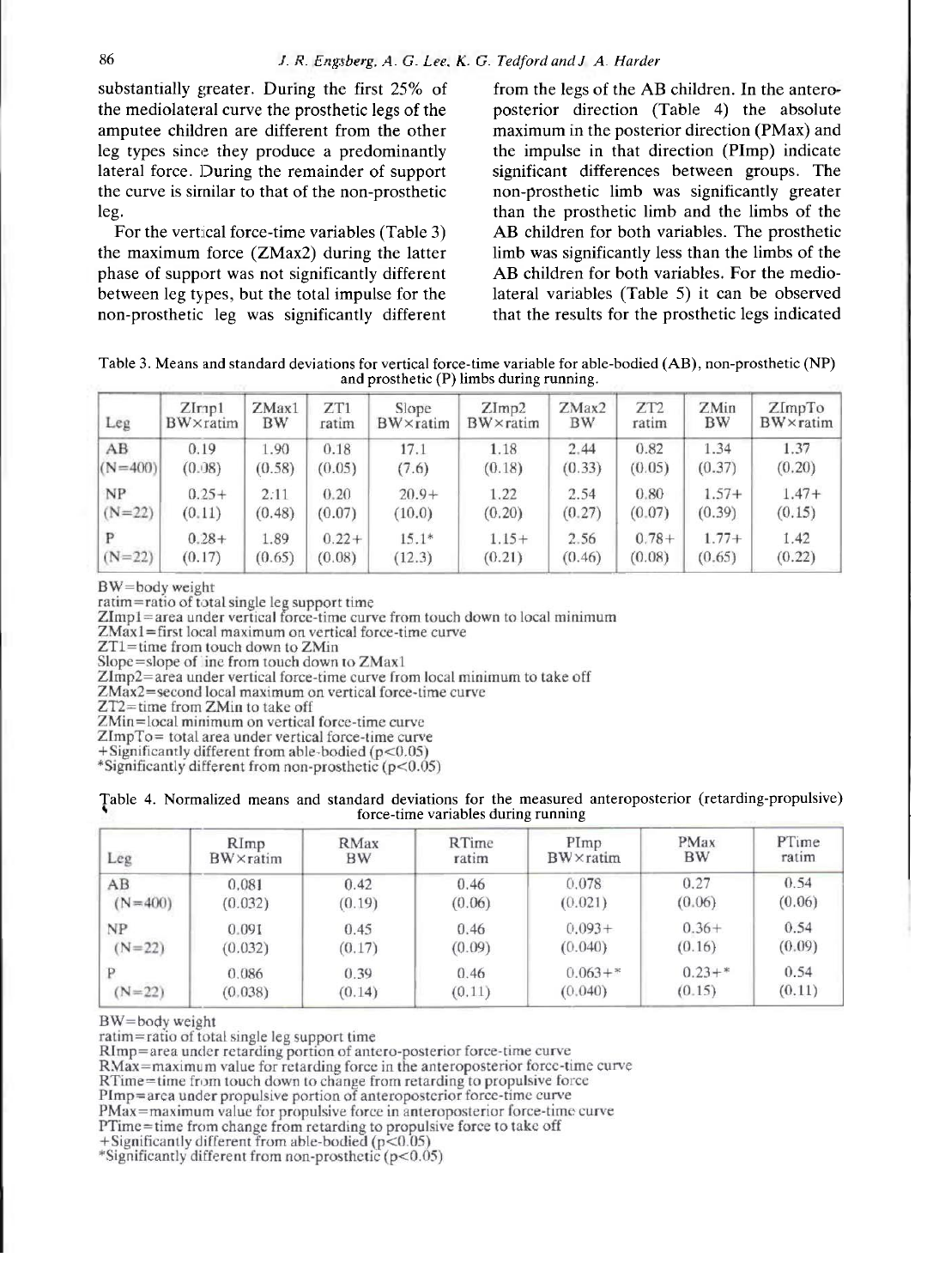substantially greater. During the first 25% of the mediolateral curve the prosthetic legs of the amputee children are different from the other leg types since they produce a predominantly lateral force. During the remainder of support the curve is similar to that of the non-prosthetic leg.

For the vertical force-time variables (Table 3) the maximum force (ZMax2) during the latter phase of support was not significantly different between leg types, but the total impulse for the non-prosthetic leg was significantly different from the legs of the AB children. In the anteroposterior direction (Table 4) the absolute maximum in the posterior direction (PMax) and the impulse in that direction (PImp) indicate significant differences between groups. The non-prosthetic limb was significantly greater than the prosthetic limb and the limbs of the AB children for both variables. The prosthetic AB children for both variables. The prosthetic<br>
limb was significantly less than the limbs of the<br>
AB children for both variables. For the medio-AB children for both variables. For the medio-<br>lateral variables (Table 5) it can be observed that the results for the prosthetic legs indicated

Table 3. Means and standard deviations for vertical force-time variable for able-bodied (AB), non-prosthetic (NP) and prosthetic (P) limbs during running.

| Leg       | $Z$ Irip $1$ | ZMax1     | ZT1     | Slope    | ZImp2    | ZMax2     | ZT <sub>2</sub> | ZMin      | ZImpTo   |
|-----------|--------------|-----------|---------|----------|----------|-----------|-----------------|-----------|----------|
|           | BW×ratim     | <b>BW</b> | ratim   | BW×ratim | BW×ratim | <b>BW</b> | ratim           | <b>BW</b> | BW×ratim |
| AB        | 0.19         | 1.90      | 0.18    | 17.1     | 1.18     | 2.44      | 0.82            | 1.34      | 1.37     |
| $(N=400)$ | (0.08)       | (0.58)    | (0.05)  | (7.6)    | (0.18)   | (0.33)    | (0.05)          | (0.37)    | (0.20)   |
| <b>NP</b> | $0.25+$      | 2:11      | 0.20    | $20.9+$  | 1.22     | 2.54      | 0.80            | $1.57+$   | $1.47+$  |
| $(N=22)$  | (0.11)       | (0.48)    | (0.07)  | (10.0)   | (0.20)   | (0.27)    | (0.07)          | (0.39)    | (0.15)   |
| $(N=22)$  | $0.28 +$     | 1.89      | $0.22+$ | $15.1*$  | $1.15+$  | 2.56      | $0.78+$         | $1.77+$   | 1.42     |
|           | (0.17)       | (0.65)    | (0.08)  | (12.3)   | (0.21)   | (0.46)    | (0.08)          | (0.65)    | (0.22)   |

BW=body weight

ratim=ratio of total single leg support time<br>ZImp1=area under vertical force-time curve from touch down to local minimum

ZMax1=first local maximum on vertical force-time curve

ZT1=time from touch down to ZMin

Slope=slope of line from touch down to ZMax1

ZImp2=area under vertical force-time curve from local minimum to take off

ZMax2=second local maximum on vertical force-time curve

272=time from 2Min to take off<br>
2Min=local minimum on vertical force-time curve

ZImpTo= total area under vertical force-time curve

 $+$ Significantly different from able-bodied ( $p$ <0.05) \*Significantly different from non-prosthetic  $(p<0.05)$ 

| Table | standard deviations for the<br>anteroposterior (retarding-propulsive)<br>r means ar<br>measured<br>Normalized<br>and |  |
|-------|----------------------------------------------------------------------------------------------------------------------|--|
|       | e-time variables during running<br>force                                                                             |  |

| Leg         | RImp     | <b>RMax</b> | RTime  | PImp              | PMax      | PTime  |
|-------------|----------|-------------|--------|-------------------|-----------|--------|
|             | BW×ratim | <b>BW</b>   | ratim  | $BW \times$ ratim | <b>BW</b> | ratim  |
| AB          | 0.081    | 0.42        | 0.46   | 0.078             | 0.27      | 0.54   |
| $(N = 400)$ | (0.032)  | (0.19)      | (0.06) | (0.021)           | (0.06)    | (0.06) |
| <b>NP</b>   | 0.091    | 0.45        | 0.46   | $0.093+$          | $0.36+$   | 0.54   |
| $(N=22)$    | (0.032)  | (0.17)      | (0.09) | (0.040)           | (0.16)    | (0.09) |
| $(N=22)$    | 0.086    | 0.39        | 0.46   | $0.063 +$ *       | $0.23+*$  | 0.54   |
|             | (0.038)  | (0.14)      | (0.11) | (0.040)           | (0.15)    | (0.11) |

BW=body weight

ratim=ratio of total single leg support time

RImp=area under retarding portion of antero-posterior force-time curve

RMax=maximum value for retarding force in the anteroposterior force-time curve

RTime=time from touch down to change from retarding to propulsive force

PImp=area under propulsive portion of anteroposterior force-time curve

PMax=maximum value for propulsive force in anteroposterior force-time curve

PTime=time from change from retarding to propulsive force to take off

+Significantly different from able-bodied (p<0.05)

\*Significantly different from non-prosthetic (p<0.05)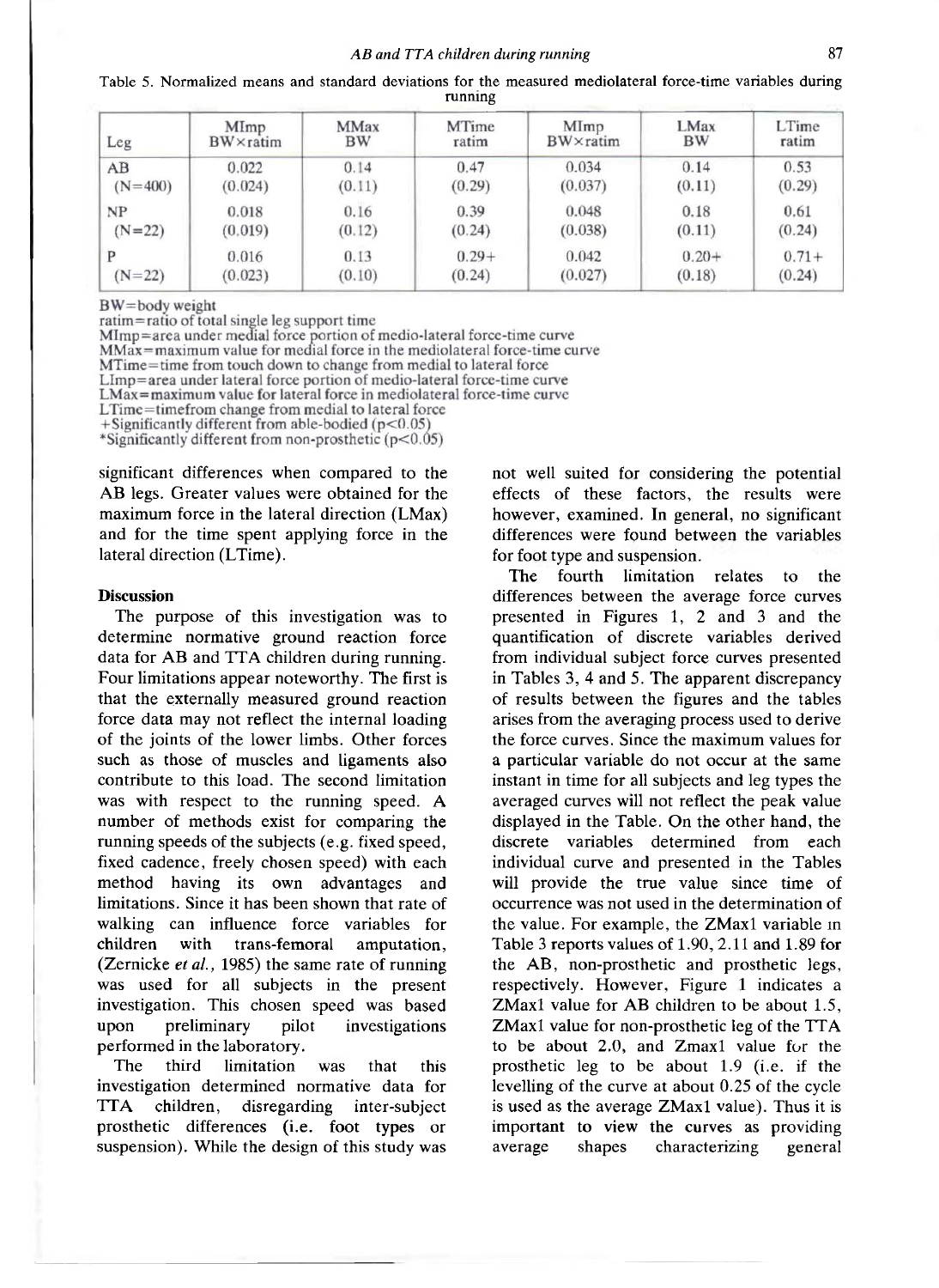| Ē<br>mediolateral force-time<br>variables<br>measured<br>durıng<br>the<br>tor<br>standard<br>deviations<br>means<br>rable<br>and<br>Normalized |
|------------------------------------------------------------------------------------------------------------------------------------------------|
| runnıne                                                                                                                                        |

| Leg       | MImp              | <b>MMax</b> | MTime   | MImp     | <b>LMax</b> | LTime   |
|-----------|-------------------|-------------|---------|----------|-------------|---------|
|           | $BW \times$ ratim | <b>BW</b>   | ratim   | BW×ratim | <b>BW</b>   | ratim   |
| AB        | 0.022             | 0.14        | 0.47    | 0.034    | 0.14        | 0.53    |
| $(N=400)$ | (0.024)           | (0.11)      | (0.29)  | (0.037)  | (0.11)      | (0.29)  |
| NP        | 0.018             | 0.16        | 0.39    | 0.048    | 0.18        | 0.61    |
| $(N=22)$  | (0.019)           | (0.12)      | (0.24)  | (0.038)  | (0.11)      | (0.24)  |
| P         | 0.016             | 0.13        | $0.29+$ | 0.042    | $0.20+$     | $0.71+$ |
| $(N=22)$  | (0.023)           | (0.10)      | (0.24)  | (0.027)  | (0.18)      | (0.24)  |

 $BW =$ body weight

ratim=ratio of total single leg support time

Mimp=area under medial force portion of medio-lateral force-time curve<br>MMax=maximum value for medial force in the mediolateral force-time curve

MTime=time from touch down to change from medial to lateral force

LImp=area under lateral force portion of medio-lateral force-time curve

 $LMax = maximum$  value for lateral force in mediolateral force-time curve

LTime=timefrom change from medial to lateral force

+Significantly different from able-bodied ( $p<0.05$ )

\*Significantly different from non-prosthetic  $(p<0.05)$ 

significant differences when compared to the AB legs. Greater values were obtained for the maximum force in the lateral direction (LMax) and for the time spent applying force in the lateral direction (LTime).

#### **Discussion**

The purpose of this investigation was to determine normative ground reaction force data for AB and TTA children during running. Four limitations appear noteworthy. The first is that the externally measured ground reaction force data may not reflect the internal loading of the joints of the lower limbs. Other forces such as those of muscles and ligaments also contribute to this load. The second limitation was with respect to the running speed. A number of methods exist for comparing the running speeds of the subjects (e.g. fixed speed, fixed cadence, freely chosen speed) with each method having its own advantages and limitations. Since it has been shown that rate of walking can influence force variables for children with trans-femoral amputation, (Zernicke e*t al.,* 1985) the same rate of running was used for all subjects in the present investigation. This chosen speed was based upon preliminary pilot investigations upon preliminary pilot<br>performed in the laboratory.

The third limitation was that this investigation determined normative data for TTA children, disregarding inter-subject prosthetic differences (i.e. foot types or suspension). While the design of this study was not well suited for considering the potential effects of these factors, the results were however, examined. In general, no significant differences were found between the variables for foot type and suspension.

The fourth limitation relates to the differences between the average force curves presented in Figures 1, 2 and 3 and the quantification of discrete variables derived from individual subject force curves presented in Tables 3, 4 and 5. The apparent discrepancy of results between the figures and the tables arises from the averaging process used to derive the force curves. Since the maximum values for a particular variable do not occur at the same instant in time for all subjects and leg types the averaged curves will not reflect the peak value displayed in the Table. On the other hand, the discrete variables determined from each individual curve and presented in the Tables will provide the true value since time of occurrence was not used in the determination of the value. For example, the ZMax1 variable in Table 3 reports values of 1.90, 2.11 and 1.89 for the AB, non-prosthetic and prosthetic legs, respectively. However, Figure 1 indicates a ZMax1 value for AB children to be about 1.5, ZMax1 value for non-prosthetic leg of the TTA to be about 2.0, and Zmax1 value for the prosthetic leg to be about 1.9 (i.e. if the levelling of the curve at about 0.25 of the cycle is used as the average ZMax1 value). Thus it is important to view the curves as providing important to view the curves as providing<br>average shapes characterizing general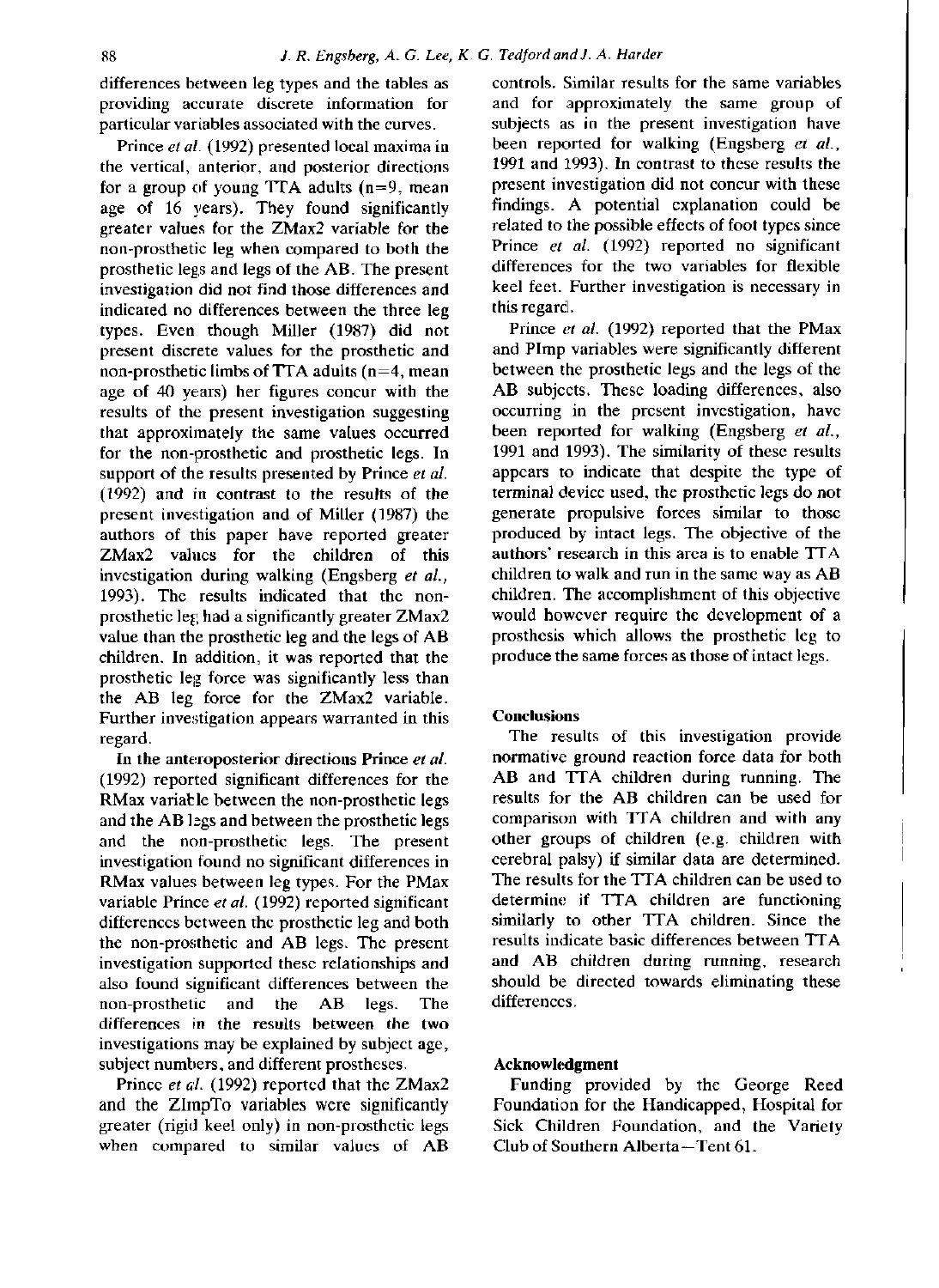differences between leg types and the tables as providing accurate discrete information for particular variables associated with the curves.

Prince *et al.* (1992) presented local maxima in the vertical, anterior, and posterior directions for a group of young TTA adults  $(n=9,$  mean age of 16 years). They found significantly greater values for the ZMax2 variable for the non-prosthetic leg when compared to both the prosthetic legs and legs of the AB. The present investigation did not find those differences and indicated no differences between the three leg types. Even though Miller (1987) did not present discrete values for the prosthetic and non-prosthetic limbs of TTA adults  $(n=4,$  mean age of 40 years) her figures concur with the results of the present investigation suggesting that approximately the same values occurred for the non-prosthetic and prosthetic legs. In support of the results presented by Prince *et al.*  (1992) and in contrast to the results of the present investigation and of Miller (1987) the authors of this paper have reported greater ZMax2 values for the children of this investigation during walking (Engsberg *et al.,*  1993). The results indicated that the nonprosthetic leg had a significantly greater ZMax2 value than the prosthetic leg and the legs of AB children. In addition, it was reported that the prosthetic leg force was significantly less than the AB leg force for the ZMax2 variable. Further investigation appears warranted in this regard.

In the anteroposterior directions Prince *et al.*  (1992) reported significant differences for the RMax variable between the non-prosthetic legs and the AB legs and between the prosthetic legs and the non-prosthetic legs. The present investigation found no significant differences in RMax values between leg types. For the PMax variable Prince *et al.* (1992) reported significant differences between the prosthetic leg and both the non-prosthetic and AB legs. The present investigation supported these relationships and also found significant differences between the non-prosthetic and the AB legs. The differences in the results between the two investigations may be explained by subject age, subject numbers, and different prostheses.

Prince *et al.* (1992) reported that the ZMax2 and the ZImpTo variables were significantly greater (rigid keel only) in non-prosthetic legs when compared to similar values of AB controls. Similar results for the same variables and for approximately the same group of subjects as in the present investigation have been reported for walking (Engsberg e*t al.,*  1991 and 1993). In contrast to these results the present investigation did not concur with these findings. A potential explanation could be related to the possible effects of foot types since Prince e*t al.* (1992) reported no significant differences for the two variables for flexible keel feet. Further investigation is necessary in this regard.

Prince *et al.* (1992) reported that the PMax and Pimp variables were significantly different between the prosthetic legs and the legs of the AB subjects. These loading differences, also occurring in the present investigation, have been reported for walking (Engsberg *et al.,*  1991 and 1993). The similarity of these results appears to indicate that despite the type of terminal device used, the prosthetic legs do not generate propulsive forces similar to those produced by intact legs. The objective of the authors' research in this area is to enable TTA children to walk and run in the same way as AB children. The accomplishment of this objective would however require the development of a prosthesis which allows the prosthetic leg to produce the same forces as those of intact legs.

## **Conclusions**

The results of this investigation provide normative ground reaction force data for both AB and TTA children during running. The results for the AB children can be used for comparison with TTA children and with any other groups of children (e.g. children with cerebral palsy) if similar data are determined. The results for the TTA children can be used to determine if TTA children are functioning similarly to other TTA children. Since the results indicate basic differences between TTA and AB children during running, research should be directed towards eliminating these differences.

## **Acknowledgment**

Funding provided by the George Reed Foundation for the Handicapped, Hospital for Sick Children Foundation, and the Variety Club of Southern Alberta-Tent 61.